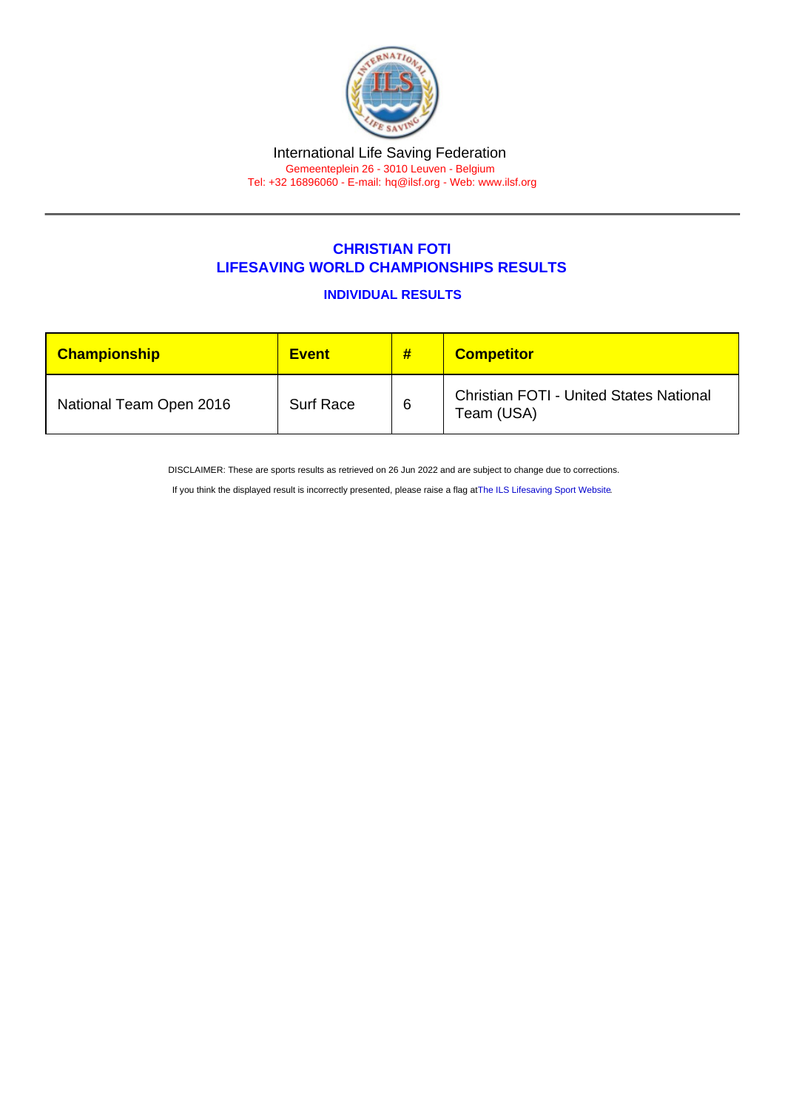## International Life Saving Federation Gemeenteplein 26 - 3010 Leuven - Belgium

Tel: +32 16896060 - E-mail: [hq@ilsf.org](mailto:hq@ilsf.org) - Web: [www.ilsf.org](https://www.ilsf.org)

## CHRISTIAN FOTI LIFESAVING WORLD CHAMPIONSHIPS RESULTS

INDIVIDUAL RESULTS

| Championship            | <b>Event</b>     | # | <b>Competitor</b>                                            |
|-------------------------|------------------|---|--------------------------------------------------------------|
| National Team Open 2016 | <b>Surf Race</b> | 6 | <b>Christian FOTI - United States National</b><br>Team (USA) |

DISCLAIMER: These are sports results as retrieved on 26 Jun 2022 and are subject to change due to corrections.

If you think the displayed result is incorrectly presented, please raise a flag at [The ILS Lifesaving Sport Website.](https://sport.ilsf.org)